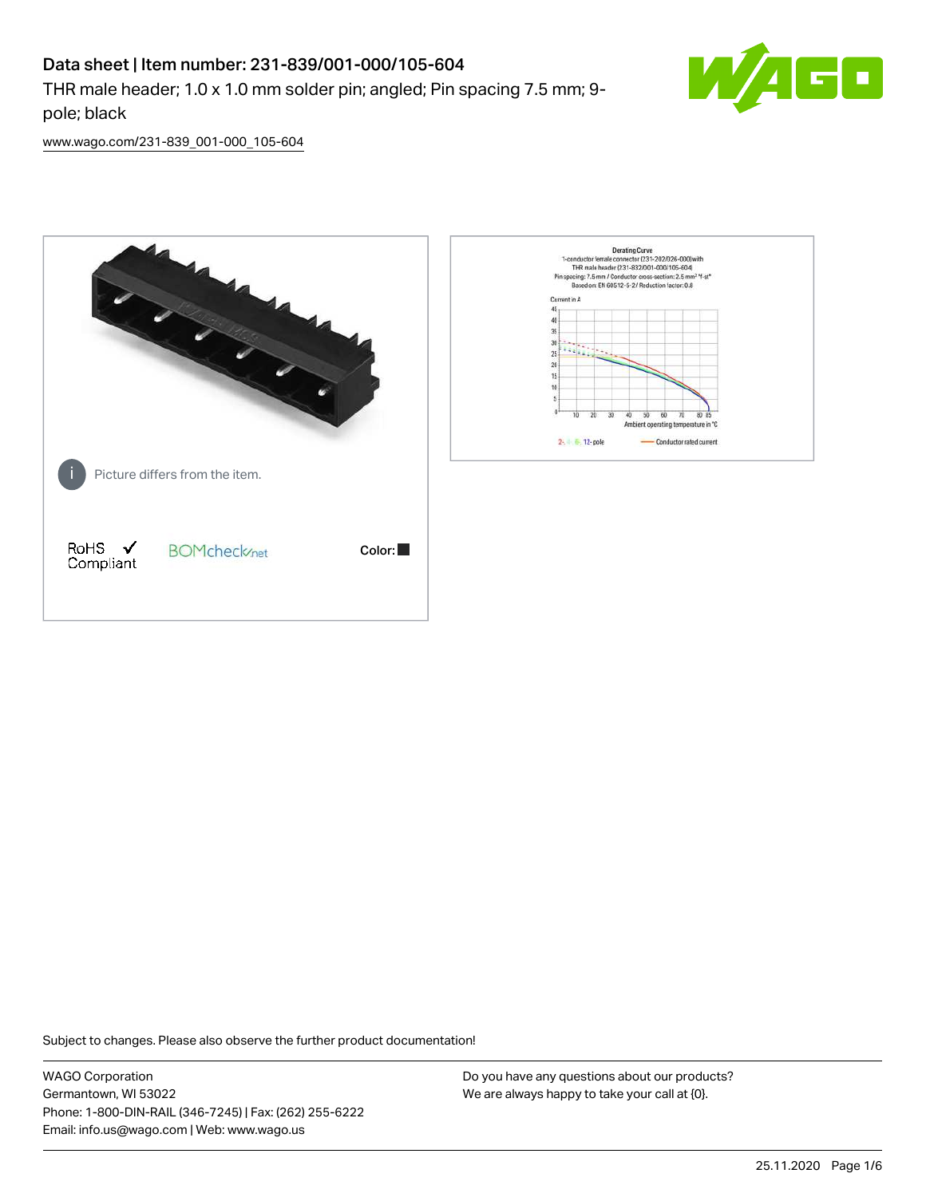# Data sheet | Item number: 231-839/001-000/105-604

THR male header; 1.0 x 1.0 mm solder pin; angled; Pin spacing 7.5 mm; 9 pole; black



[www.wago.com/231-839\\_001-000\\_105-604](http://www.wago.com/231-839_001-000_105-604)



Subject to changes. Please also observe the further product documentation!

WAGO Corporation Germantown, WI 53022 Phone: 1-800-DIN-RAIL (346-7245) | Fax: (262) 255-6222 Email: info.us@wago.com | Web: www.wago.us

Do you have any questions about our products? We are always happy to take your call at {0}.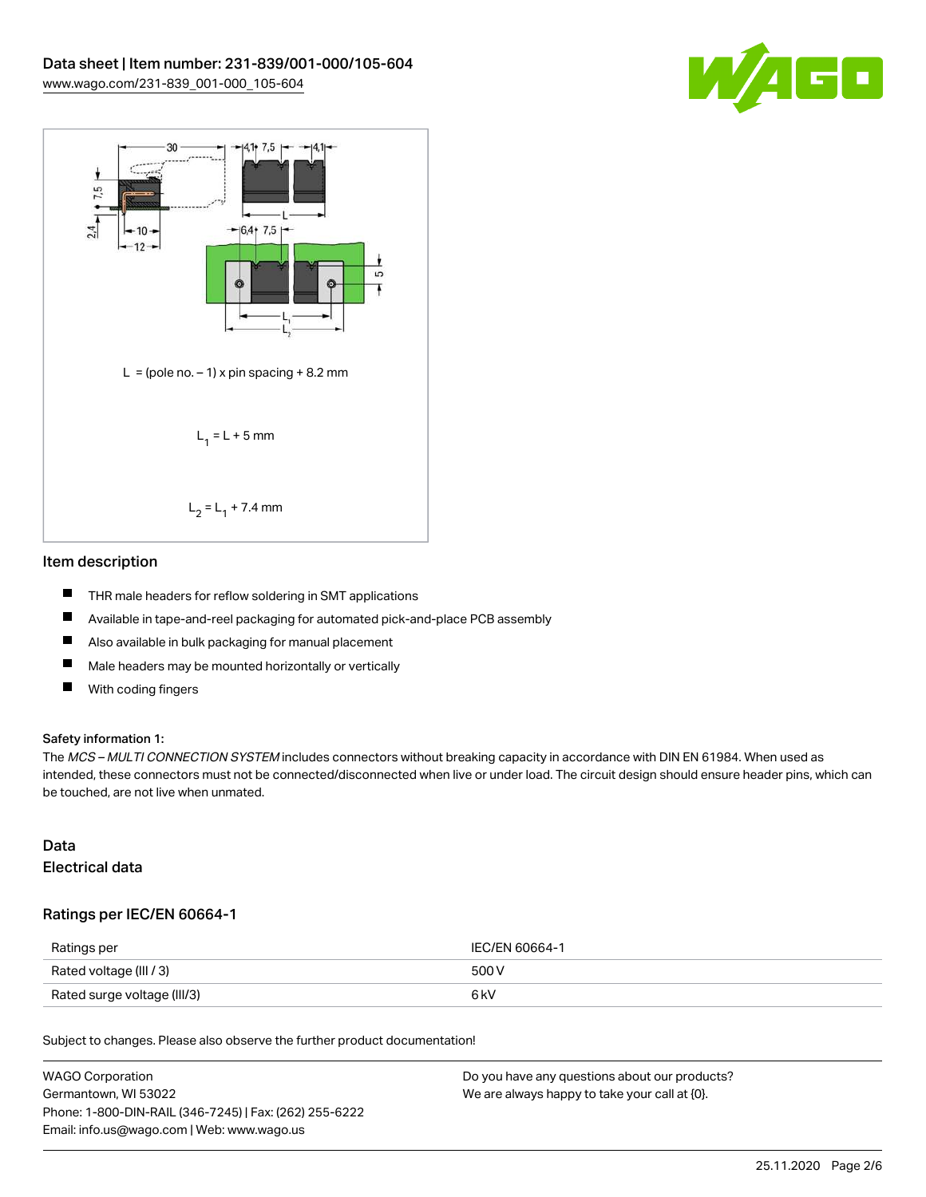



#### Item description

- П THR male headers for reflow soldering in SMT applications
- $\blacksquare$ Available in tape-and-reel packaging for automated pick-and-place PCB assembly
- $\qquad \qquad \blacksquare$ Also available in bulk packaging for manual placement
- $\blacksquare$ Male headers may be mounted horizontally or vertically
- $\blacksquare$ With coding fingers

#### Safety information 1:

The MCS - MULTI CONNECTION SYSTEM includes connectors without breaking capacity in accordance with DIN EN 61984. When used as intended, these connectors must not be connected/disconnected when live or under load. The circuit design should ensure header pins, which can be touched, are not live when unmated.

### Data Electrical data

#### Ratings per IEC/EN 60664-1

| Ratings per                 | IEC/EN 60664-1 |
|-----------------------------|----------------|
| Rated voltage (III / 3)     | 500 V          |
| Rated surge voltage (III/3) | 6 kV           |

Subject to changes. Please also observe the further product documentation!

| WAGO Corporation                                       | Do you have any questions about our products? |
|--------------------------------------------------------|-----------------------------------------------|
| Germantown. WI 53022                                   | We are always happy to take your call at {0}. |
| Phone: 1-800-DIN-RAIL (346-7245)   Fax: (262) 255-6222 |                                               |
| Email: info.us@wago.com   Web: www.wago.us             |                                               |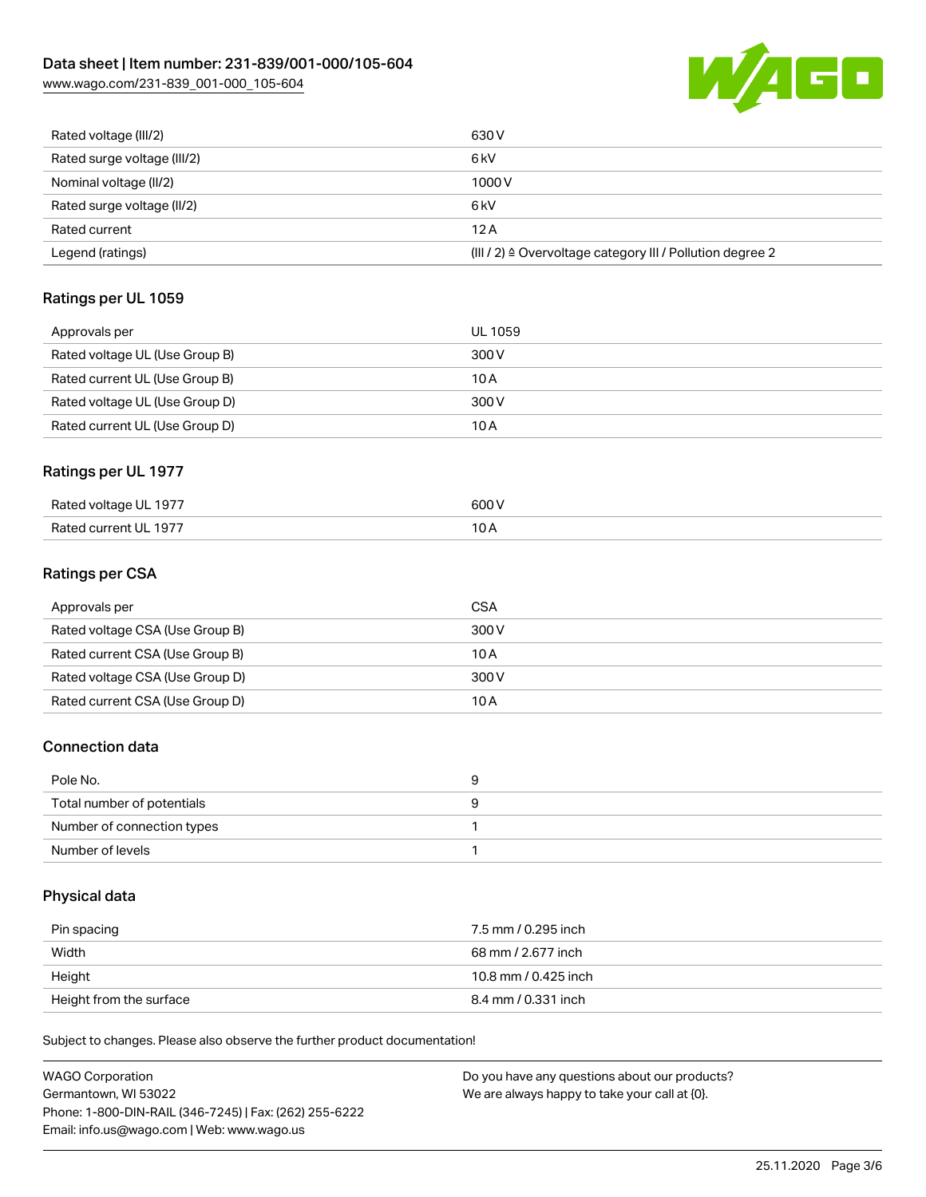

| Rated voltage (III/2)       | 630 V                                                     |
|-----------------------------|-----------------------------------------------------------|
| Rated surge voltage (III/2) | 6 kV                                                      |
| Nominal voltage (II/2)      | 1000V                                                     |
| Rated surge voltage (II/2)  | 6 <sub>k</sub> V                                          |
| Rated current               | 12A                                                       |
| Legend (ratings)            | (III / 2) ≙ Overvoltage category III / Pollution degree 2 |

# Ratings per UL 1059

| Approvals per                  | UL 1059 |
|--------------------------------|---------|
| Rated voltage UL (Use Group B) | 300 V   |
| Rated current UL (Use Group B) | 10 A    |
| Rated voltage UL (Use Group D) | 300 V   |
| Rated current UL (Use Group D) | 10 A    |

#### Ratings per UL 1977

| Rated voltage UL 1977         | 500 V                    |
|-------------------------------|--------------------------|
| Rated current UL 1977<br>____ | $\overline{\phantom{a}}$ |

# Ratings per CSA

| Approvals per                   | CSA   |
|---------------------------------|-------|
| Rated voltage CSA (Use Group B) | 300 V |
| Rated current CSA (Use Group B) | 10 A  |
| Rated voltage CSA (Use Group D) | 300 V |
| Rated current CSA (Use Group D) | 10 A  |

#### Connection data

| Pole No.                   |  |
|----------------------------|--|
| Total number of potentials |  |
| Number of connection types |  |
| Number of levels           |  |

#### Physical data

| Pin spacing             | 7.5 mm / 0.295 inch  |
|-------------------------|----------------------|
| Width                   | 68 mm / 2.677 inch   |
| Height                  | 10.8 mm / 0.425 inch |
| Height from the surface | 8.4 mm / 0.331 inch  |

Subject to changes. Please also observe the further product documentation!

| <b>WAGO Corporation</b>                                | Do you have any questions about our products? |
|--------------------------------------------------------|-----------------------------------------------|
| Germantown, WI 53022                                   | We are always happy to take your call at {0}. |
| Phone: 1-800-DIN-RAIL (346-7245)   Fax: (262) 255-6222 |                                               |
| Email: info.us@wago.com   Web: www.wago.us             |                                               |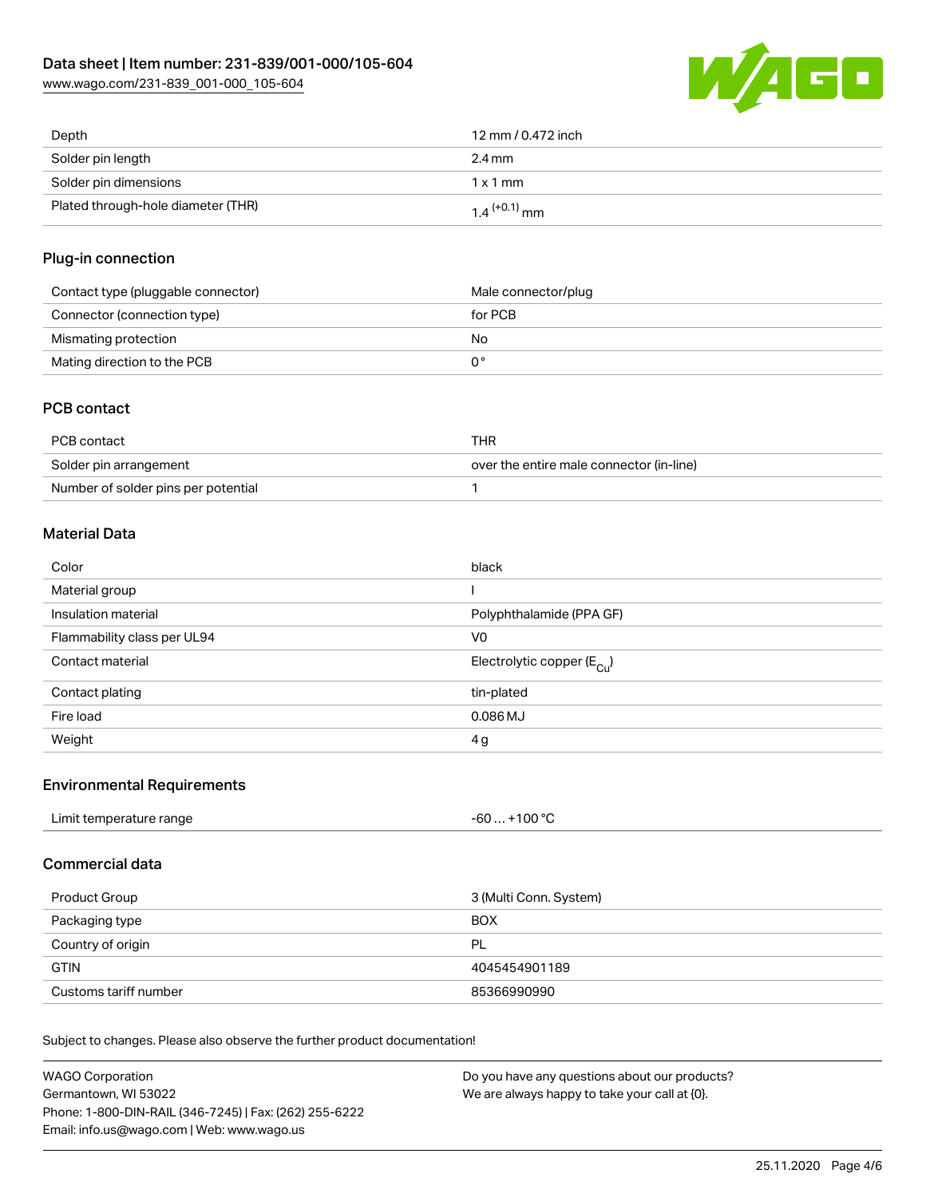

| Depth                              | 12 mm / 0.472 inch         |
|------------------------------------|----------------------------|
| Solder pin length                  | 2.4 mm                     |
| Solder pin dimensions              | $1 \times 1$ mm            |
| Plated through-hole diameter (THR) | $1.4$ <sup>(+0.1)</sup> mm |

### Plug-in connection

| Contact type (pluggable connector) | Male connector/plug |
|------------------------------------|---------------------|
| Connector (connection type)        | for PCB             |
| Mismating protection               | No.                 |
| Mating direction to the PCB        |                     |

### PCB contact

| PCB contact                         | THR                                      |
|-------------------------------------|------------------------------------------|
| Solder pin arrangement              | over the entire male connector (in-line) |
| Number of solder pins per potential |                                          |

# Material Data

| Color                       | black                                 |
|-----------------------------|---------------------------------------|
| Material group              |                                       |
| Insulation material         | Polyphthalamide (PPA GF)              |
| Flammability class per UL94 | V0                                    |
| Contact material            | Electrolytic copper $(E_{\text{Cl}})$ |
| Contact plating             | tin-plated                            |
| Fire load                   | $0.086$ MJ                            |
| Weight                      | 4g                                    |

#### Environmental Requirements

| Limit temperature range | . +100 °C |
|-------------------------|-----------|
|                         | -60       |
|                         |           |

### Commercial data

| Product Group         | 3 (Multi Conn. System) |  |
|-----------------------|------------------------|--|
| Packaging type        | <b>BOX</b>             |  |
| Country of origin     | PL                     |  |
| <b>GTIN</b>           | 4045454901189          |  |
| Customs tariff number | 85366990990            |  |

Subject to changes. Please also observe the further product documentation!

| WAGO Corporation                                       | Do you have any questions about our products? |
|--------------------------------------------------------|-----------------------------------------------|
| Germantown, WI 53022                                   | We are always happy to take your call at {0}. |
| Phone: 1-800-DIN-RAIL (346-7245)   Fax: (262) 255-6222 |                                               |
| Email: info.us@wago.com   Web: www.wago.us             |                                               |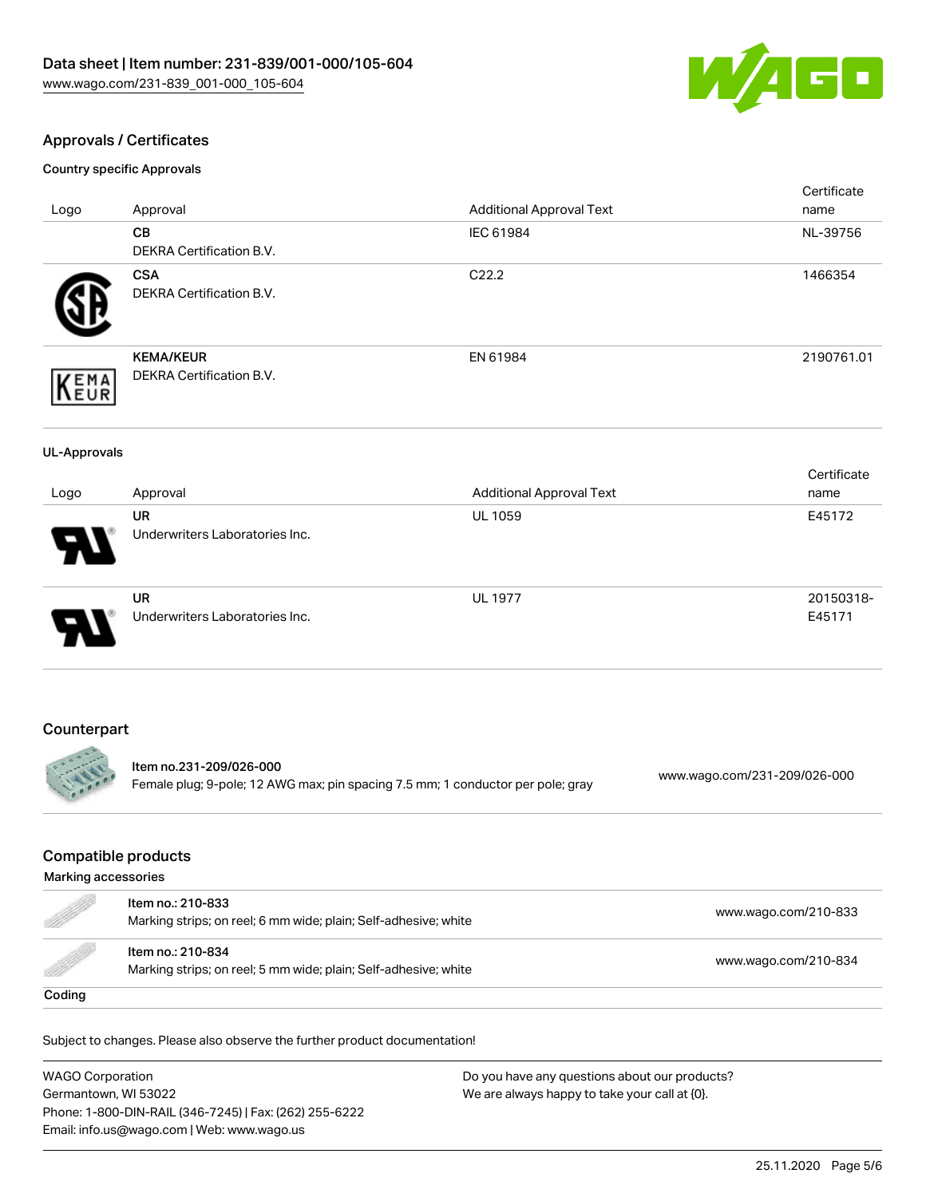

### Approvals / Certificates

Country specific Approvals

|                     |                                                                                                            |                                 | Certificate                  |
|---------------------|------------------------------------------------------------------------------------------------------------|---------------------------------|------------------------------|
| Logo                | Approval                                                                                                   | <b>Additional Approval Text</b> | name                         |
|                     | CB                                                                                                         | IEC 61984                       | NL-39756                     |
|                     | DEKRA Certification B.V.                                                                                   |                                 |                              |
|                     | <b>CSA</b>                                                                                                 | C22.2                           | 1466354                      |
|                     | DEKRA Certification B.V.                                                                                   |                                 |                              |
|                     | <b>KEMA/KEUR</b>                                                                                           | EN 61984                        | 2190761.01                   |
|                     | DEKRA Certification B.V.                                                                                   |                                 |                              |
| <b>EMA</b><br>EUR   |                                                                                                            |                                 |                              |
| <b>UL-Approvals</b> |                                                                                                            |                                 |                              |
| Logo                | Approval                                                                                                   | <b>Additional Approval Text</b> | Certificate<br>name          |
|                     | <b>UR</b>                                                                                                  | <b>UL 1059</b>                  | E45172                       |
|                     | Underwriters Laboratories Inc.                                                                             |                                 |                              |
|                     |                                                                                                            |                                 |                              |
|                     | <b>UR</b>                                                                                                  | <b>UL 1977</b>                  | 20150318-                    |
|                     | Underwriters Laboratories Inc.                                                                             |                                 | E45171                       |
| Counterpart         |                                                                                                            |                                 |                              |
|                     |                                                                                                            |                                 |                              |
|                     | Item no.231-209/026-000<br>Female plug; 9-pole; 12 AWG max; pin spacing 7.5 mm; 1 conductor per pole; gray |                                 | www.wago.com/231-209/026-000 |

### Compatible products

| Marking accessories                                                                                                                                                                                                             |                                                                                      |                      |
|---------------------------------------------------------------------------------------------------------------------------------------------------------------------------------------------------------------------------------|--------------------------------------------------------------------------------------|----------------------|
| e de la completa de la completa de la completa de la completa de la completa de la completa de la completa de<br>La completa de la completa de la completa de la completa de la completa de la completa de la completa de la co | Item no.: 210-833<br>Marking strips; on reel; 6 mm wide; plain; Self-adhesive; white | www.wago.com/210-833 |
| <u>M</u>                                                                                                                                                                                                                        | Item no.: 210-834<br>Marking strips; on reel; 5 mm wide; plain; Self-adhesive; white | www.wago.com/210-834 |
| Coding                                                                                                                                                                                                                          |                                                                                      |                      |

Subject to changes. Please also observe the further product documentation!

WAGO Corporation Germantown, WI 53022 Phone: 1-800-DIN-RAIL (346-7245) | Fax: (262) 255-6222 Email: info.us@wago.com | Web: www.wago.us Do you have any questions about our products? We are always happy to take your call at {0}.